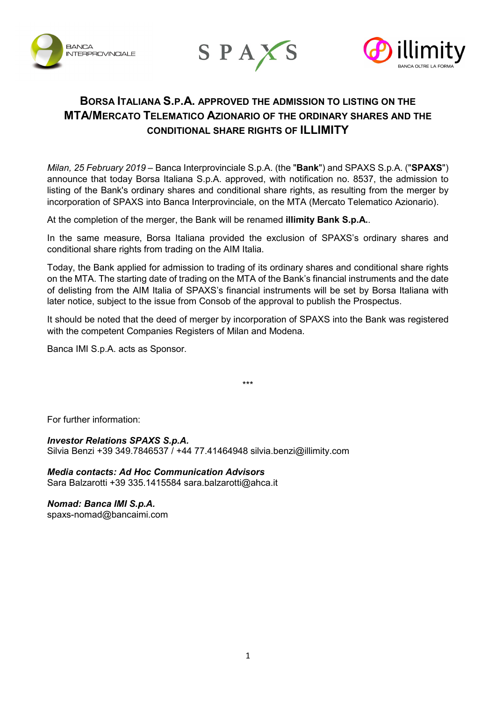





# **BORSA ITALIANA S.P.A. APPROVED THE ADMISSION TO LISTING ON THE MTA/MERCATO TELEMATICO AZIONARIO OF THE ORDINARY SHARES AND THE CONDITIONAL SHARE RIGHTS OF ILLIMITY**

*Milan, 25 February 2019* – Banca Interprovinciale S.p.A. (the "**Bank**") and SPAXS S.p.A. ("**SPAXS**") announce that today Borsa Italiana S.p.A. approved, with notification no. 8537, the admission to listing of the Bank's ordinary shares and conditional share rights, as resulting from the merger by incorporation of SPAXS into Banca Interprovinciale, on the MTA (Mercato Telematico Azionario).

At the completion of the merger, the Bank will be renamed **illimity Bank S.p.A.**.

In the same measure, Borsa Italiana provided the exclusion of SPAXS's ordinary shares and conditional share rights from trading on the AIM Italia.

Today, the Bank applied for admission to trading of its ordinary shares and conditional share rights on the MTA. The starting date of trading on the MTA of the Bank's financial instruments and the date of delisting from the AIM Italia of SPAXS's financial instruments will be set by Borsa Italiana with later notice, subject to the issue from Consob of the approval to publish the Prospectus.

It should be noted that the deed of merger by incorporation of SPAXS into the Bank was registered with the competent Companies Registers of Milan and Modena.

\*\*\*

Banca IMI S.p.A. acts as Sponsor.

For further information:

## *Investor Relations SPAXS S.p.A.*

Silvia Benzi +39 349.7846537 / +44 77.41464948 [silvia.benzi@illimity.com](mailto:silvia.benzi@illimity.com)

# *Media contacts: Ad Hoc Communication Advisors*

Sara Balzarotti +39 335.1415584 [sara.balzarotti@ahca.it](mailto:sara.balzarotti@ahca.it)

### *Nomad: Banca IMI S.p.A.*

[spaxs-nomad@bancaimi.com](mailto:spaxs-nomad@bancaimi.com)